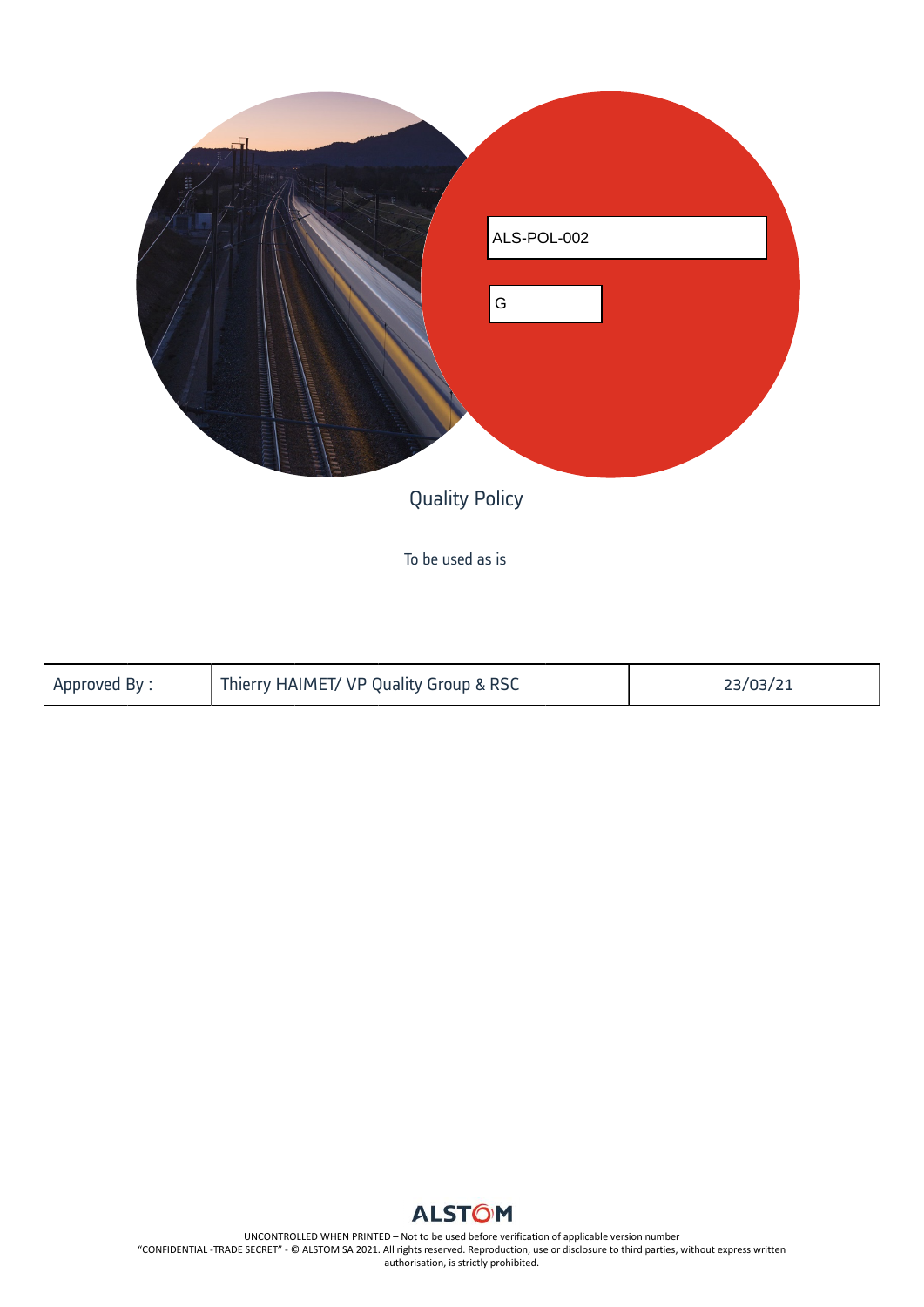

To be used as is

| Approved By: | Thierry HAIMET/ VP Quality Group & RSC | 23/03/21 |
|--------------|----------------------------------------|----------|
|              |                                        |          |